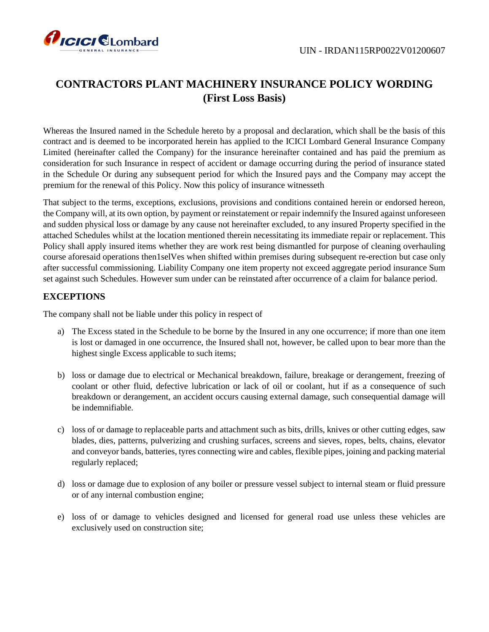

# **CONTRACTORS PLANT MACHINERY INSURANCE POLICY WORDING (First Loss Basis)**

Whereas the Insured named in the Schedule hereto by a proposal and declaration, which shall be the basis of this contract and is deemed to be incorporated herein has applied to the ICICI Lombard General Insurance Company Limited (hereinafter called the Company) for the insurance hereinafter contained and has paid the premium as consideration for such Insurance in respect of accident or damage occurring during the period of insurance stated in the Schedule Or during any subsequent period for which the Insured pays and the Company may accept the premium for the renewal of this Policy. Now this policy of insurance witnesseth

That subject to the terms, exceptions, exclusions, provisions and conditions contained herein or endorsed hereon, the Company will, at its own option, by payment or reinstatement or repair indemnify the Insured against unforeseen and sudden physical loss or damage by any cause not hereinafter excluded, to any insured Property specified in the attached Schedules whilst at the location mentioned therein necessitating its immediate repair or replacement. This Policy shall apply insured items whether they are work rest being dismantled for purpose of cleaning overhauling course aforesaid operations then1selVes when shifted within premises during subsequent re-erection but case only after successful commissioning. Liability Company one item property not exceed aggregate period insurance Sum set against such Schedules. However sum under can be reinstated after occurrence of a claim for balance period.

# **EXCEPTIONS**

The company shall not be liable under this policy in respect of

- a) The Excess stated in the Schedule to be borne by the Insured in any one occurrence; if more than one item is lost or damaged in one occurrence, the Insured shall not, however, be called upon to bear more than the highest single Excess applicable to such items;
- b) loss or damage due to electrical or Mechanical breakdown, failure, breakage or derangement, freezing of coolant or other fluid, defective lubrication or lack of oil or coolant, hut if as a consequence of such breakdown or derangement, an accident occurs causing external damage, such consequential damage will be indemnifiable.
- c) loss of or damage to replaceable parts and attachment such as bits, drills, knives or other cutting edges, saw blades, dies, patterns, pulverizing and crushing surfaces, screens and sieves, ropes, belts, chains, elevator and conveyor bands, batteries, tyres connecting wire and cables, flexible pipes, joining and packing material regularly replaced;
- d) loss or damage due to explosion of any boiler or pressure vessel subject to internal steam or fluid pressure or of any internal combustion engine;
- e) loss of or damage to vehicles designed and licensed for general road use unless these vehicles are exclusively used on construction site;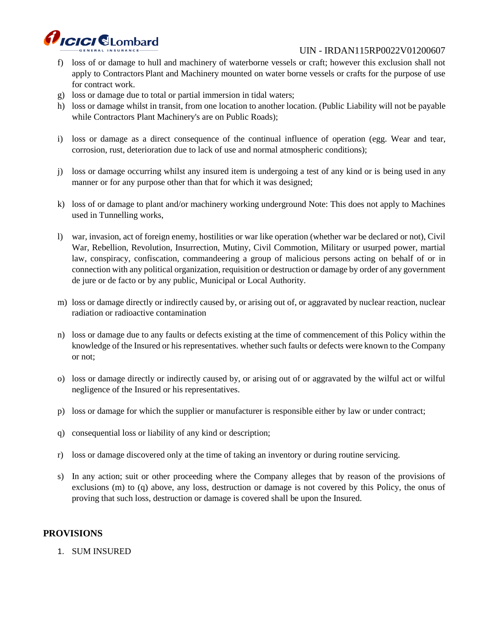

- f) loss of or damage to hull and machinery of waterborne vessels or craft; however this exclusion shall not apply to Contractors Plant and Machinery mounted on water borne vessels or crafts for the purpose of use for contract work.
- g) loss or damage due to total or partial immersion in tidal waters;
- h) loss or damage whilst in transit, from one location to another location. (Public Liability will not be payable while Contractors Plant Machinery's are on Public Roads);
- i) loss or damage as a direct consequence of the continual influence of operation (egg. Wear and tear, corrosion, rust, deterioration due to lack of use and normal atmospheric conditions);
- j) loss or damage occurring whilst any insured item is undergoing a test of any kind or is being used in any manner or for any purpose other than that for which it was designed;
- k) loss of or damage to plant and/or machinery working underground Note: This does not apply to Machines used in Tunnelling works,
- l) war, invasion, act of foreign enemy, hostilities or war like operation (whether war be declared or not), Civil War, Rebellion, Revolution, Insurrection, Mutiny, Civil Commotion, Military or usurped power, martial law, conspiracy, confiscation, commandeering a group of malicious persons acting on behalf of or in connection with any political organization, requisition or destruction or damage by order of any government de jure or de facto or by any public, Municipal or Local Authority.
- m) loss or damage directly or indirectly caused by, or arising out of, or aggravated by nuclear reaction, nuclear radiation or radioactive contamination
- n) loss or damage due to any faults or defects existing at the time of commencement of this Policy within the knowledge of the Insured or his representatives. whether such faults or defects were known to the Company or not;
- o) loss or damage directly or indirectly caused by, or arising out of or aggravated by the wilful act or wilful negligence of the Insured or his representatives.
- p) loss or damage for which the supplier or manufacturer is responsible either by law or under contract;
- q) consequential loss or liability of any kind or description;
- r) loss or damage discovered only at the time of taking an inventory or during routine servicing.
- s) In any action; suit or other proceeding where the Company alleges that by reason of the provisions of exclusions (m) to (q) above, any loss, destruction or damage is not covered by this Policy, the onus of proving that such loss, destruction or damage is covered shall be upon the Insured.

# **PROVISIONS**

1. SUM INSURED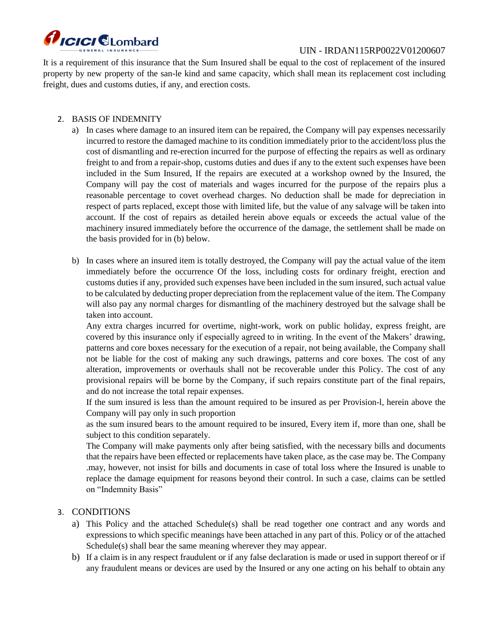

It is a requirement of this insurance that the Sum Insured shall be equal to the cost of replacement of the insured property by new property of the san-le kind and same capacity, which shall mean its replacement cost including freight, dues and customs duties, if any, and erection costs.

## 2. BASIS OF INDEMNITY

- a) In cases where damage to an insured item can be repaired, the Company will pay expenses necessarily incurred to restore the damaged machine to its condition immediately prior to the accident/loss plus the cost of dismantling and re-erection incurred for the purpose of effecting the repairs as well as ordinary freight to and from a repair-shop, customs duties and dues if any to the extent such expenses have been included in the Sum Insured, If the repairs are executed at a workshop owned by the Insured, the Company will pay the cost of materials and wages incurred for the purpose of the repairs plus a reasonable percentage to covet overhead charges. No deduction shall be made for depreciation in respect of parts replaced, except those with limited life, but the value of any salvage will be taken into account. If the cost of repairs as detailed herein above equals or exceeds the actual value of the machinery insured immediately before the occurrence of the damage, the settlement shall be made on the basis provided for in (b) below.
- b) In cases where an insured item is totally destroyed, the Company will pay the actual value of the item immediately before the occurrence Of the loss, including costs for ordinary freight, erection and customs duties if any, provided such expenses have been included in the sum insured, such actual value to be calculated by deducting proper depreciation from the replacement value of the item. The Company will also pay any normal charges for dismantling of the machinery destroyed but the salvage shall be taken into account.

Any extra charges incurred for overtime, night-work, work on public holiday, express freight, are covered by this insurance only if especially agreed to in writing. In the event of the Makers' drawing, patterns and core boxes necessary for the execution of a repair, not being available, the Company shall not be liable for the cost of making any such drawings, patterns and core boxes. The cost of any alteration, improvements or overhauls shall not be recoverable under this Policy. The cost of any provisional repairs will be borne by the Company, if such repairs constitute part of the final repairs, and do not increase the total repair expenses.

If the sum insured is less than the amount required to be insured as per Provision-l, herein above the Company will pay only in such proportion

as the sum insured bears to the amount required to be insured, Every item if, more than one, shall be subject to this condition separately.

The Company will make payments only after being satisfied, with the necessary bills and documents that the repairs have been effected or replacements have taken place, as the case may be. The Company .may, however, not insist for bills and documents in case of total loss where the Insured is unable to replace the damage equipment for reasons beyond their control. In such a case, claims can be settled on "Indemnity Basis"

# 3. CONDITIONS

- a) This Policy and the attached Schedule(s) shall be read together one contract and any words and expressions to which specific meanings have been attached in any part of this. Policy or of the attached Schedule(s) shall bear the same meaning wherever they may appear.
- b) If a claim is in any respect fraudulent or if any false declaration is made or used in support thereof or if any fraudulent means or devices are used by the Insured or any one acting on his behalf to obtain any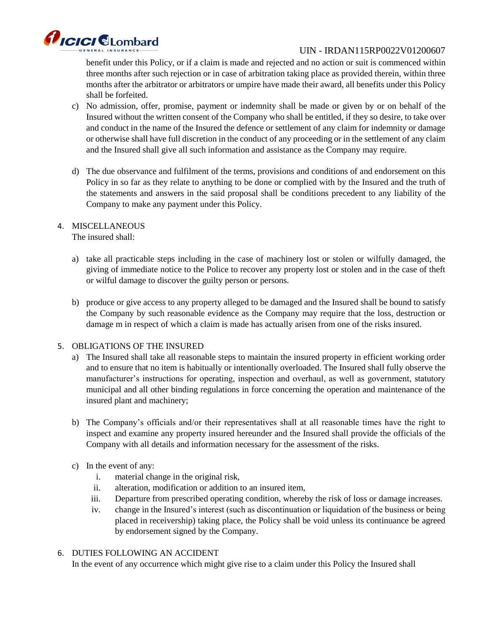

benefit under this Policy, or if a claim is made and rejected and no action or suit is commenced within three months after such rejection or in case of arbitration taking place as provided therein, within three months after the arbitrator or arbitrators or umpire have made their award, all benefits under this Policy shall be forfeited.

- c) No admission, offer, promise, payment or indemnity shall be made or given by or on behalf of the Insured without the written consent of the Company who shall be entitled, if they so desire, to take over and conduct in the name of the Insured the defence or settlement of any claim for indemnity or damage or otherwise shall have full discretion in the conduct of any proceeding or in the settlement of any claim and the Insured shall give all such information and assistance as the Company may require.
- d) The due observance and fulfilment of the terms, provisions and conditions of and endorsement on this Policy in so far as they relate to anything to be done or complied with by the Insured and the truth of the statements and answers in the said proposal shall be conditions precedent to any liability of the Company to make any payment under this Policy.

## 4. MISCELLANEOUS

The insured shall:

- a) take all practicable steps including in the case of machinery lost or stolen or wilfully damaged, the giving of immediate notice to the Police to recover any property lost or stolen and in the case of theft or wilful damage to discover the guilty person or persons.
- b) produce or give access to any property alleged to be damaged and the Insured shall be bound to satisfy the Company by such reasonable evidence as the Company may require that the loss, destruction or damage m in respect of which a claim is made has actually arisen from one of the risks insured.

# 5. OBLIGATIONS OF THE INSURED

- a) The Insured shall take all reasonable steps to maintain the insured property in efficient working order and to ensure that no item is habitually or intentionally overloaded. The Insured shall fully observe the manufacturer's instructions for operating, inspection and overhaul, as well as government, statutory municipal and all other binding regulations in force concerning the operation and maintenance of the insured plant and machinery;
- b) The Company's officials and/or their representatives shall at all reasonable times have the right to inspect and examine any property insured hereunder and the Insured shall provide the officials of the Company with all details and information necessary for the assessment of the risks.
- c) In the event of any:
	- i. material change in the original risk,
	- ii. alteration, modification or addition to an insured item,
	- iii. Departure from prescribed operating condition, whereby the risk of loss or damage increases.
	- iv. change in the Insured's interest (such as discontinuation or liquidation of the business or being placed in receivership) taking place, the Policy shall be void unless its continuance be agreed by endorsement signed by the Company.
- 6. DUTIES FOLLOWING AN ACCIDENT

In the event of any occurrence which might give rise to a claim under this Policy the Insured shall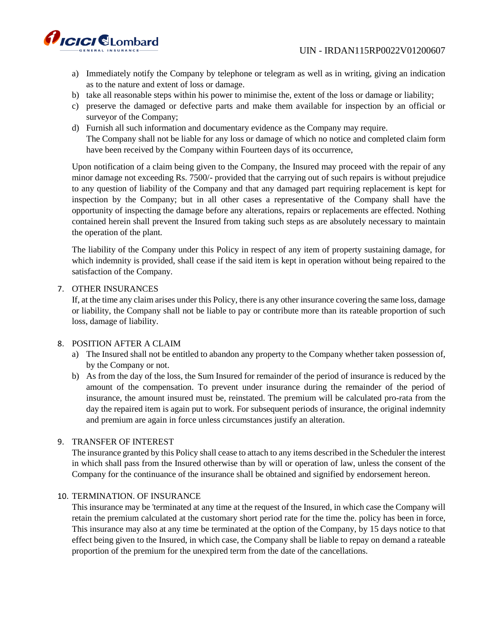

- a) Immediately notify the Company by telephone or telegram as well as in writing, giving an indication as to the nature and extent of loss or damage.
- b) take all reasonable steps within his power to minimise the, extent of the loss or damage or liability;
- c) preserve the damaged or defective parts and make them available for inspection by an official or surveyor of the Company;
- d) Furnish all such information and documentary evidence as the Company may require. The Company shall not be liable for any loss or damage of which no notice and completed claim form have been received by the Company within Fourteen days of its occurrence,

Upon notification of a claim being given to the Company, the Insured may proceed with the repair of any minor damage not exceeding Rs. 7500/- provided that the carrying out of such repairs is without prejudice to any question of liability of the Company and that any damaged part requiring replacement is kept for inspection by the Company; but in all other cases a representative of the Company shall have the opportunity of inspecting the damage before any alterations, repairs or replacements are effected. Nothing contained herein shall prevent the Insured from taking such steps as are absolutely necessary to maintain the operation of the plant.

The liability of the Company under this Policy in respect of any item of property sustaining damage, for which indemnity is provided, shall cease if the said item is kept in operation without being repaired to the satisfaction of the Company.

#### 7. OTHER INSURANCES

If, at the time any claim arises under this Policy, there is any other insurance covering the same loss, damage or liability, the Company shall not be liable to pay or contribute more than its rateable proportion of such loss, damage of liability.

#### 8. POSITION AFTER A CLAIM

- a) The Insured shall not be entitled to abandon any property to the Company whether taken possession of, by the Company or not.
- b) As from the day of the loss, the Sum Insured for remainder of the period of insurance is reduced by the amount of the compensation. To prevent under insurance during the remainder of the period of insurance, the amount insured must be, reinstated. The premium will be calculated pro-rata from the day the repaired item is again put to work. For subsequent periods of insurance, the original indemnity and premium are again in force unless circumstances justify an alteration.

#### 9. TRANSFER OF INTEREST

The insurance granted by this Policy shall cease to attach to any items described in the Scheduler the interest in which shall pass from the Insured otherwise than by will or operation of law, unless the consent of the Company for the continuance of the insurance shall be obtained and signified by endorsement hereon.

#### 10. TERMINATION. OF INSURANCE

This insurance may be 'terminated at any time at the request of the Insured, in which case the Company will retain the premium calculated at the customary short period rate for the time the. policy has been in force, This insurance may also at any time be terminated at the option of the Company, by 15 days notice to that effect being given to the Insured, in which case, the Company shall be liable to repay on demand a rateable proportion of the premium for the unexpired term from the date of the cancellations.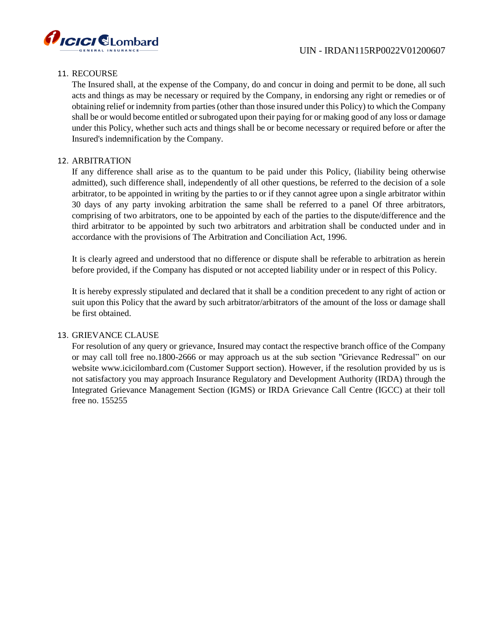



#### 11. RECOURSE

The Insured shall, at the expense of the Company, do and concur in doing and permit to be done, all such acts and things as may be necessary or required by the Company, in endorsing any right or remedies or of obtaining relief or indemnity from parties (other than those insured under this Policy) to which the Company shall be or would become entitled or subrogated upon their paying for or making good of any loss or damage under this Policy, whether such acts and things shall be or become necessary or required before or after the Insured's indemnification by the Company.

#### 12. ARBITRATION

If any difference shall arise as to the quantum to be paid under this Policy, (liability being otherwise admitted), such difference shall, independently of all other questions, be referred to the decision of a sole arbitrator, to be appointed in writing by the parties to or if they cannot agree upon a single arbitrator within 30 days of any party invoking arbitration the same shall be referred to a panel Of three arbitrators, comprising of two arbitrators, one to be appointed by each of the parties to the dispute/difference and the third arbitrator to be appointed by such two arbitrators and arbitration shall be conducted under and in accordance with the provisions of The Arbitration and Conciliation Act, 1996.

It is clearly agreed and understood that no difference or dispute shall be referable to arbitration as herein before provided, if the Company has disputed or not accepted liability under or in respect of this Policy.

It is hereby expressly stipulated and declared that it shall be a condition precedent to any right of action or suit upon this Policy that the award by such arbitrator/arbitrators of the amount of the loss or damage shall be first obtained.

#### 13. GRIEVANCE CLAUSE

For resolution of any query or grievance, Insured may contact the respective branch office of the Company or may call toll free no.1800-2666 or may approach us at the sub section "Grievance Redressal" on our website www.icicilombard.com (Customer Support section). However, if the resolution provided by us is not satisfactory you may approach Insurance Regulatory and Development Authority (IRDA) through the Integrated Grievance Management Section (IGMS) or IRDA Grievance Call Centre (IGCC) at their toll free no. 155255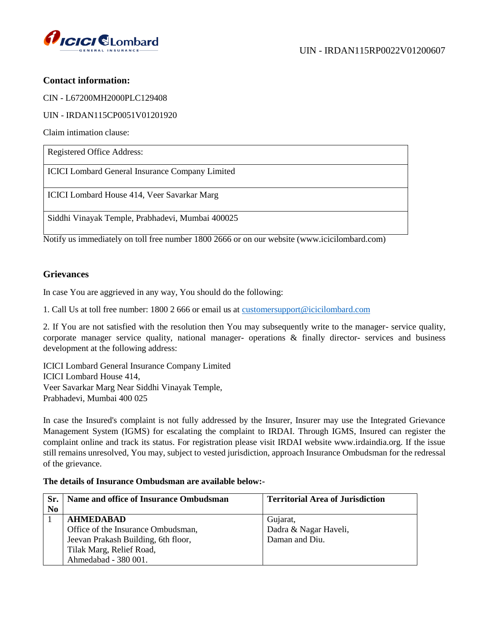

# **Contact information:**

CIN - L67200MH2000PLC129408

UIN - IRDAN115CP0051V01201920

Claim intimation clause:

| Registered Office Address:                             |
|--------------------------------------------------------|
| <b>ICICI</b> Lombard General Insurance Company Limited |
| ICICI Lombard House 414, Veer Savarkar Marg            |
| Siddhi Vinayak Temple, Prabhadevi, Mumbai 400025       |

Notify us immediately on toll free number 1800 2666 or on our website (www.icicilombard.com)

## **Grievances**

In case You are aggrieved in any way, You should do the following:

1. Call Us at toll free number: 1800 2 666 or email us at [customersupport@icicilombard.com](mailto:customersupport@icicilombard.com)

2. If You are not satisfied with the resolution then You may subsequently write to the manager- service quality, corporate manager service quality, national manager- operations & finally director- services and business development at the following address:

ICICI Lombard General Insurance Company Limited ICICI Lombard House 414, Veer Savarkar Marg Near Siddhi Vinayak Temple, Prabhadevi, Mumbai 400 025

In case the Insured's complaint is not fully addressed by the Insurer, Insurer may use the Integrated Grievance Management System (IGMS) for escalating the complaint to IRDAI. Through IGMS, Insured can register the complaint online and track its status. For registration please visit IRDAI website www.irdaindia.org. If the issue still remains unresolved, You may, subject to vested jurisdiction, approach Insurance Ombudsman for the redressal of the grievance.

#### **The details of Insurance Ombudsman are available below:-**

| Sr.            | Name and office of Insurance Ombudsman | <b>Territorial Area of Jurisdiction</b> |
|----------------|----------------------------------------|-----------------------------------------|
| N <sub>0</sub> |                                        |                                         |
|                | <b>AHMEDABAD</b>                       | Gujarat,                                |
|                | Office of the Insurance Ombudsman,     | Dadra & Nagar Haveli,                   |
|                | Jeevan Prakash Building, 6th floor,    | Daman and Diu.                          |
|                | Tilak Marg, Relief Road,               |                                         |
|                | Ahmedabad - 380 001.                   |                                         |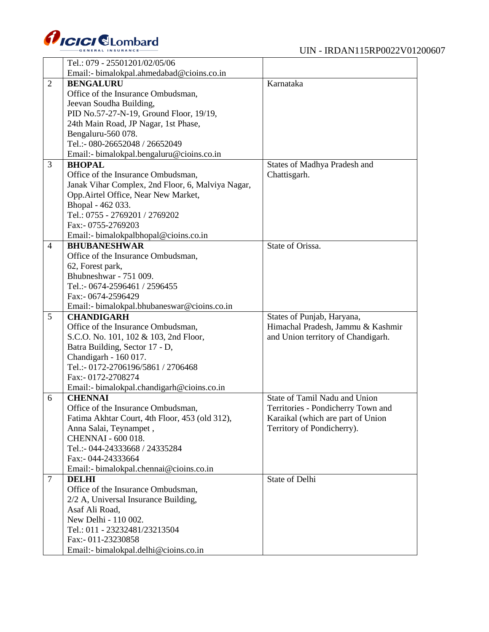

|                | Tel.: 079 - 25501201/02/05/06                               |                                    |
|----------------|-------------------------------------------------------------|------------------------------------|
|                | Email:- bimalokpal.ahmedabad@cioins.co.in                   |                                    |
| $\overline{2}$ | <b>BENGALURU</b>                                            | Karnataka                          |
|                | Office of the Insurance Ombudsman,                          |                                    |
|                | Jeevan Soudha Building,                                     |                                    |
|                | PID No.57-27-N-19, Ground Floor, 19/19,                     |                                    |
|                | 24th Main Road, JP Nagar, 1st Phase,                        |                                    |
|                | Bengaluru-560 078.                                          |                                    |
|                | Tel.:- 080-26652048 / 26652049                              |                                    |
|                | Email:- bimalokpal.bengaluru@cioins.co.in                   |                                    |
| 3              | <b>BHOPAL</b>                                               | States of Madhya Pradesh and       |
|                | Office of the Insurance Ombudsman,                          | Chattisgarh.                       |
|                | Janak Vihar Complex, 2nd Floor, 6, Malviya Nagar,           |                                    |
|                | Opp.Airtel Office, Near New Market,                         |                                    |
|                | Bhopal - 462 033.                                           |                                    |
|                | Tel.: 0755 - 2769201 / 2769202                              |                                    |
|                | Fax:- 0755-2769203                                          |                                    |
|                | Email:- bimalokpalbhopal@cioins.co.in                       |                                    |
| $\overline{4}$ | <b>BHUBANESHWAR</b>                                         | State of Orissa.                   |
|                | Office of the Insurance Ombudsman,                          |                                    |
|                | 62, Forest park,                                            |                                    |
|                | Bhubneshwar - 751 009.                                      |                                    |
|                | Tel.:- 0674-2596461 / 2596455                               |                                    |
|                | Fax:- 0674-2596429                                          |                                    |
|                | Email:- bimalokpal.bhubaneswar@cioins.co.in                 |                                    |
| 5              | <b>CHANDIGARH</b>                                           | States of Punjab, Haryana,         |
|                | Office of the Insurance Ombudsman,                          | Himachal Pradesh, Jammu & Kashmir  |
|                | S.C.O. No. 101, 102 & 103, 2nd Floor,                       | and Union territory of Chandigarh. |
|                | Batra Building, Sector 17 - D,                              |                                    |
|                | Chandigarh - 160 017.                                       |                                    |
|                | Tel.:- 0172-2706196/5861 / 2706468                          |                                    |
|                | Fax:- 0172-2708274                                          |                                    |
|                | Email:- bimalokpal.chandigarh@cioins.co.in                  |                                    |
| 6              | <b>CHENNAI</b>                                              | State of Tamil Nadu and Union      |
|                | Office of the Insurance Ombudsman,                          | Territories - Pondicherry Town and |
|                | Fatima Akhtar Court, 4th Floor, 453 (old 312),              | Karaikal (which are part of Union  |
|                | Anna Salai, Teynampet,                                      |                                    |
|                |                                                             | Territory of Pondicherry).         |
|                | <b>CHENNAI - 600 018.</b>                                   |                                    |
|                | Tel.:- 044-24333668 / 24335284                              |                                    |
|                | Fax:- 044-24333664                                          |                                    |
|                | Email:- bimalokpal.chennai@cioins.co.in                     |                                    |
| $\overline{7}$ | <b>DELHI</b>                                                | <b>State of Delhi</b>              |
|                | Office of the Insurance Ombudsman,                          |                                    |
|                | 2/2 A, Universal Insurance Building,                        |                                    |
|                | Asaf Ali Road.                                              |                                    |
|                | New Delhi - 110 002.                                        |                                    |
|                | Tel.: 011 - 23232481/23213504                               |                                    |
|                | Fax:- 011-23230858<br>Email:- bimalokpal.delhi@cioins.co.in |                                    |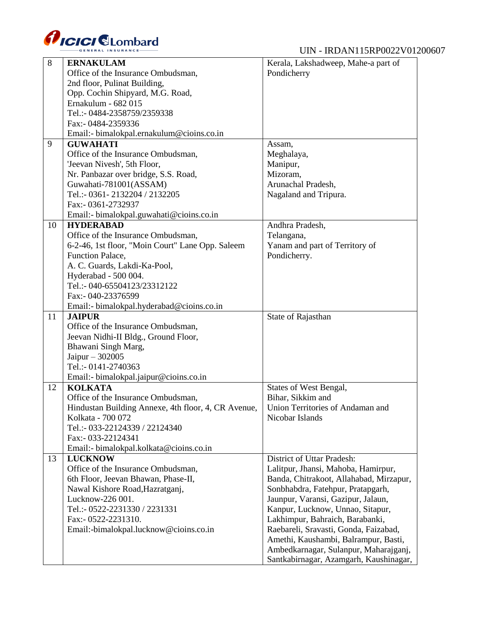

| 8  | <b>ERNAKULAM</b>                                    | Kerala, Lakshadweep, Mahe-a part of     |
|----|-----------------------------------------------------|-----------------------------------------|
|    | Office of the Insurance Ombudsman,                  | Pondicherry                             |
|    | 2nd floor, Pulinat Building,                        |                                         |
|    | Opp. Cochin Shipyard, M.G. Road,                    |                                         |
|    | Ernakulum - 682 015                                 |                                         |
|    | Tel.:- 0484-2358759/2359338                         |                                         |
|    | Fax:- 0484-2359336                                  |                                         |
|    | Email:- bimalokpal.ernakulum@cioins.co.in           |                                         |
| 9  | <b>GUWAHATI</b>                                     |                                         |
|    |                                                     | Assam,                                  |
|    | Office of the Insurance Ombudsman,                  | Meghalaya,                              |
|    | 'Jeevan Nivesh', 5th Floor,                         | Manipur,                                |
|    | Nr. Panbazar over bridge, S.S. Road,                | Mizoram,                                |
|    | Guwahati-781001(ASSAM)                              | Arunachal Pradesh,                      |
|    | Tel.:- 0361-2132204 / 2132205                       | Nagaland and Tripura.                   |
|    | Fax:- 0361-2732937                                  |                                         |
|    | Email:- bimalokpal.guwahati@cioins.co.in            |                                         |
| 10 | <b>HYDERABAD</b>                                    | Andhra Pradesh,                         |
|    | Office of the Insurance Ombudsman,                  | Telangana,                              |
|    | 6-2-46, 1st floor, "Moin Court" Lane Opp. Saleem    | Yanam and part of Territory of          |
|    | Function Palace,                                    | Pondicherry.                            |
|    | A. C. Guards, Lakdi-Ka-Pool,                        |                                         |
|    | Hyderabad - 500 004.                                |                                         |
|    | Tel.:- 040-65504123/23312122                        |                                         |
|    | Fax:- 040-23376599                                  |                                         |
|    | Email:- bimalokpal.hyderabad@cioins.co.in           |                                         |
| 11 | <b>JAIPUR</b>                                       | State of Rajasthan                      |
|    | Office of the Insurance Ombudsman,                  |                                         |
|    | Jeevan Nidhi-II Bldg., Ground Floor,                |                                         |
|    |                                                     |                                         |
|    | Bhawani Singh Marg,                                 |                                         |
|    | Jaipur $-302005$                                    |                                         |
|    | Tel.:- 0141-2740363                                 |                                         |
|    | Email:- bimalokpal.jaipur@cioins.co.in              |                                         |
| 12 | <b>KOLKATA</b>                                      | States of West Bengal,                  |
|    | Office of the Insurance Ombudsman,                  | Bihar, Sikkim and                       |
|    | Hindustan Building Annexe, 4th floor, 4, CR Avenue, | Union Territories of Andaman and        |
|    | Kolkata - 700 072                                   | Nicobar Islands                         |
|    | Tel.:- 033-22124339 / 22124340                      |                                         |
|    | Fax:- 033-22124341                                  |                                         |
|    | Email:- bimalokpal.kolkata@cioins.co.in             |                                         |
| 13 | <b>LUCKNOW</b>                                      | District of Uttar Pradesh:              |
|    | Office of the Insurance Ombudsman,                  | Lalitpur, Jhansi, Mahoba, Hamirpur,     |
|    | 6th Floor, Jeevan Bhawan, Phase-II,                 | Banda, Chitrakoot, Allahabad, Mirzapur, |
|    | Nawal Kishore Road, Hazratganj,                     | Sonbhabdra, Fatehpur, Pratapgarh,       |
|    | Lucknow-226 001.                                    | Jaunpur, Varansi, Gazipur, Jalaun,      |
|    | Tel.:- 0522-2231330 / 2231331                       | Kanpur, Lucknow, Unnao, Sitapur,        |
|    | Fax:- 0522-2231310.                                 | Lakhimpur, Bahraich, Barabanki,         |
|    | Email:-bimalokpal.lucknow@cioins.co.in              | Raebareli, Sravasti, Gonda, Faizabad,   |
|    |                                                     | Amethi, Kaushambi, Balrampur, Basti,    |
|    |                                                     | Ambedkarnagar, Sulanpur, Maharajganj,   |
|    |                                                     |                                         |
|    |                                                     | Santkabirnagar, Azamgarh, Kaushinagar,  |